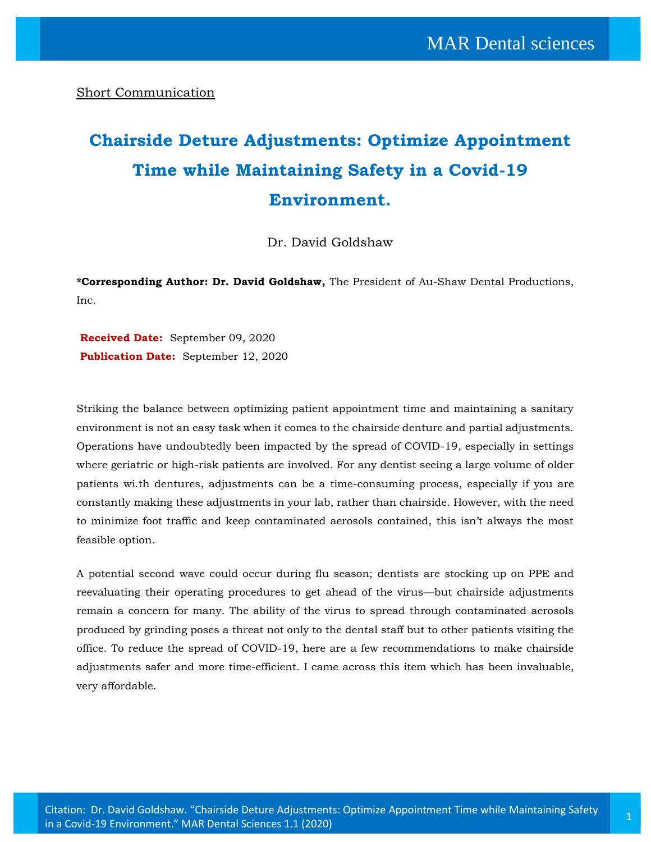Short Communication

## **Chairside Deture Adjustments: Optimize Appointment Time while Maintaining Safety in a Covid-19 Environment.**

Dr. David Goldshaw

**\*Corresponding Author: Dr. David Goldshaw,** The President of Au-Shaw Dental Productions, Inc.

**Received Date:** September 09, 2020 **Publication Date:** September 12, 2020

Striking the balance between optimizing patient appointment time and maintaining a sanitary environment is not an easy task when it comes to the chairside denture and partial adjustments. Operations have undoubtedly been impacted by the spread of COVID-19, especially in settings where geriatric or high-risk patients are involved. For any dentist seeing a large volume of older patients wi.th dentures, adjustments can be a time-consuming process, especially if you are constantly making these adjustments in your lab, rather than chairside. However, with the need to minimize foot traffic and keep contaminated aerosols contained, this isn't always the most feasible option.

A potential second wave could occur during flu season; dentists are stocking up on PPE and reevaluating their operating procedures to get ahead of the virus—but chairside adjustments remain a concern for many. The ability of the virus to spread through contaminated aerosols produced by grinding poses a threat not only to the dental staff but to other patients visiting the office. To reduce the spread of COVID-19, here are a few recommendations to make chairside adjustments safer and more time-efficient. I came across this item which has been invaluable, very affordable.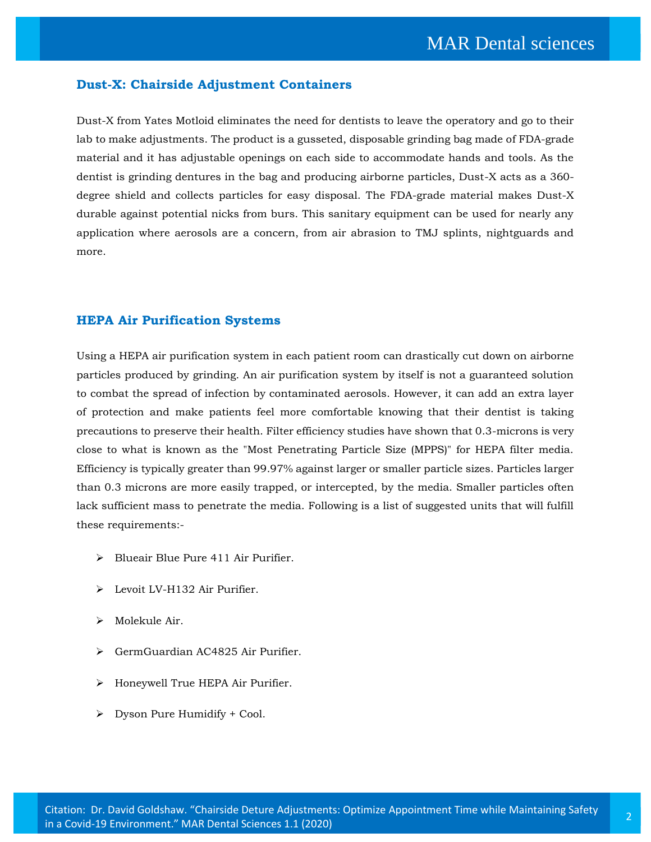## **Dust-X: Chairside Adjustment Containers**

Dust-X from Yates Motloid eliminates the need for dentists to leave the operatory and go to their lab to make adjustments. The product is a gusseted, disposable grinding bag made of FDA-grade material and it has adjustable openings on each side to accommodate hands and tools. As the dentist is grinding dentures in the bag and producing airborne particles, Dust-X acts as a 360 degree shield and collects particles for easy disposal. The FDA-grade material makes Dust-X durable against potential nicks from burs. This sanitary equipment can be used for nearly any application where aerosols are a concern, from air abrasion to TMJ splints, nightguards and more.

## **HEPA Air Purification Systems**

Using a HEPA air purification system in each patient room can drastically cut down on airborne particles produced by grinding. An air purification system by itself is not a guaranteed solution to combat the spread of infection by contaminated aerosols. However, it can add an extra layer of protection and make patients feel more comfortable knowing that their dentist is taking precautions to preserve their health. Filter efficiency studies have shown that 0.3-microns is very close to what is known as the "Most Penetrating Particle Size (MPPS)" for HEPA filter media. Efficiency is typically greater than 99.97% against larger or smaller particle sizes. Particles larger than 0.3 microns are more easily trapped, or intercepted, by the media. Smaller particles often lack sufficient mass to penetrate the media. Following is a list of suggested units that will fulfill these requirements:-

- ➢ Blueair Blue Pure 411 Air Purifier.
- ➢ Levoit LV-H132 Air Purifier.
- ➢ Molekule Air.
- ➢ GermGuardian AC4825 Air Purifier.
- ➢ Honeywell True HEPA Air Purifier.
- ➢ Dyson Pure Humidify + Cool.